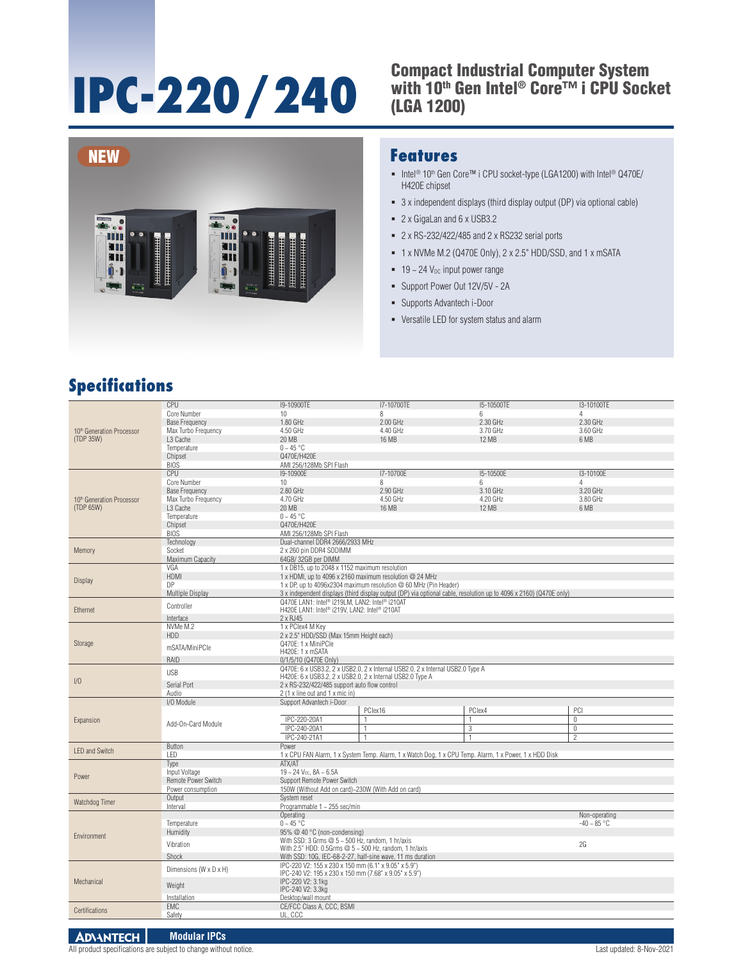# **IPC-220/240**

#### Compact Industrial Computer System with 10<sup>th</sup> Gen Intel® Core™ i CPU Socket (LGA 1200)



#### **Features**

- Intel<sup>®</sup> 10<sup>th</sup> Gen Core™ i CPU socket-type (LGA1200) with Intel® Q470E/ H420E chipset
- 3 x independent displays (third display output (DP) via optional cable)
- 2 x GigaLan and 6 x USB3.2
- 2 x RS-232/422/485 and 2 x RS232 serial ports
- 1 x NVMe M.2 (Q470E Only), 2 x 2.5" HDD/SSD, and 1 x mSATA
- $\blacksquare$  19 ~ 24  $V_{\text{DC}}$  input power range
- Support Power Out 12V/5V 2A
- Supports Advantech i-Door
- Versatile LED for system status and alarm

#### **Specifications**

|                                        | CPU                        | I9-10900TE                                                                                                         | I7-10700TE     | I5-10500TE | I3-10100TE       |  |  |  |
|----------------------------------------|----------------------------|--------------------------------------------------------------------------------------------------------------------|----------------|------------|------------------|--|--|--|
|                                        | Core Number                | 10                                                                                                                 | 8              | 6          | 4                |  |  |  |
| 10th Generation Processor<br>(TDP 35W) | <b>Base Frequency</b>      | 1.80 GHz                                                                                                           | 2.00 GHz       | 2.30 GHz   | 2.30 GHz         |  |  |  |
|                                        | Max Turbo Frequency        | 4.50 GHz                                                                                                           | 4.40 GHz       | 3.70 GHz   | 3.60 GHz         |  |  |  |
|                                        | L3 Cache                   | 20 MB<br>16 MB                                                                                                     |                | 12 MB      | 6 MB             |  |  |  |
|                                        | Temperature                | $0 - 45$ °C                                                                                                        |                |            |                  |  |  |  |
|                                        | Chipset                    | Q470E/H420E                                                                                                        |                |            |                  |  |  |  |
|                                        | <b>BIOS</b>                |                                                                                                                    |                |            |                  |  |  |  |
|                                        |                            | AMI 256/128Mb SPI Flash                                                                                            |                |            |                  |  |  |  |
|                                        | CPU                        | I9-10900E                                                                                                          | I7-10700E      | I5-10500E  | I3-10100E        |  |  |  |
|                                        | Core Number                | 10                                                                                                                 | 8              | 6          | 4                |  |  |  |
|                                        | <b>Base Frequency</b>      | 2.80 GHz<br>2.90 GHz<br>3.10 GHz                                                                                   |                |            | 3.20 GHz         |  |  |  |
| 10th Generation Processor              | Max Turbo Frequency        | 4.70 GHz<br>4.50 GHz<br>4.20 GHz                                                                                   |                |            | 3.80 GHz         |  |  |  |
| (TDP 65W)                              | L3 Cache                   | 20 MB                                                                                                              | 16 MB          | 12 MB      | 6 MB             |  |  |  |
|                                        | Temperature                | $0 - 45$ °C                                                                                                        |                |            |                  |  |  |  |
|                                        | Chipset                    | Q470E/H420E                                                                                                        |                |            |                  |  |  |  |
|                                        | <b>BIOS</b>                | AMI 256/128Mb SPI Flash                                                                                            |                |            |                  |  |  |  |
|                                        |                            | Dual-channel DDR4 2666/2933 MHz                                                                                    |                |            |                  |  |  |  |
|                                        | Technology                 |                                                                                                                    |                |            |                  |  |  |  |
| Memory                                 | Socket                     | 2 x 260 pin DDR4 SODIMM                                                                                            |                |            |                  |  |  |  |
|                                        | Maximum Capacity           | 64GB/32GB per DIMM                                                                                                 |                |            |                  |  |  |  |
|                                        | VGA                        | 1 x DB15, up to 2048 x 1152 maximum resolution                                                                     |                |            |                  |  |  |  |
|                                        | <b>HDMI</b>                | 1 x HDMI, up to 4096 x 2160 maximum resolution @ 24 MHz                                                            |                |            |                  |  |  |  |
| Display                                | DP                         | 1 x DP, up to 4096x2304 maximum resolution @ 60 MHz (Pin Header)                                                   |                |            |                  |  |  |  |
|                                        | <b>Multiple Display</b>    | 3 x independent displays (third display output (DP) via optional cable, resolution up to 4096 x 2160) (Q470E only) |                |            |                  |  |  |  |
| Ethernet                               |                            | Q470E LAN1: Intel® i219LM, LAN2: Intel® i210AT                                                                     |                |            |                  |  |  |  |
|                                        | Controller                 | H420E LAN1: Intel® i219V, LAN2: Intel® i210AT                                                                      |                |            |                  |  |  |  |
|                                        | Interface                  | 2 x RJ45                                                                                                           |                |            |                  |  |  |  |
|                                        | NVMe M.2                   | 1 x PClex4 M Key                                                                                                   |                |            |                  |  |  |  |
|                                        | HDD                        | 2 x 2.5" HDD/SSD (Max 15mm Height each)                                                                            |                |            |                  |  |  |  |
| Storage                                |                            | Q470E: 1 x MiniPCle                                                                                                |                |            |                  |  |  |  |
|                                        | mSATA/MiniPCle             | H420E: 1 x mSATA                                                                                                   |                |            |                  |  |  |  |
|                                        | RAID                       | 0/1/5/10 (Q470E Only)                                                                                              |                |            |                  |  |  |  |
|                                        |                            | Q470E: 6 x USB3.2, 2 x USB2.0, 2 x Internal USB2.0, 2 x Internal USB2.0 Type A                                     |                |            |                  |  |  |  |
|                                        | <b>USB</b>                 | H420E: 6 x USB3.2, 2 x USB2.0, 2 x Internal USB2.0 Type A                                                          |                |            |                  |  |  |  |
| I/O                                    | Serial Port                |                                                                                                                    |                |            |                  |  |  |  |
|                                        |                            | 2 x RS-232/422/485 support auto flow control                                                                       |                |            |                  |  |  |  |
|                                        | Audio                      | 2 (1 x line out and 1 x mic in)                                                                                    |                |            |                  |  |  |  |
|                                        | I/O Module                 | Support Advantech i-Door                                                                                           |                |            |                  |  |  |  |
|                                        |                            |                                                                                                                    | PClex16        | PClex4     | PCI              |  |  |  |
| Expansion                              | Add-On-Card Module         | IPC-220-20A1                                                                                                       | $\mathbf{1}$   |            | $\overline{0}$   |  |  |  |
|                                        |                            | IPC-240-20A1                                                                                                       | $\mathbf{1}$   | 3          | $\overline{0}$   |  |  |  |
|                                        |                            | IPC-240-21A1                                                                                                       | $\overline{1}$ |            | $\overline{2}$   |  |  |  |
|                                        | Button                     | Power                                                                                                              |                |            |                  |  |  |  |
| <b>LED and Switch</b>                  | LED                        | 1 x CPU FAN Alarm, 1 x System Temp. Alarm, 1 x Watch Dog, 1 x CPU Temp. Alarm, 1 x Power, 1 x HDD Disk             |                |            |                  |  |  |  |
|                                        | Type                       | ATX/AT                                                                                                             |                |            |                  |  |  |  |
|                                        | Input Voltage              | $19 - 24$ V <sub>DC</sub> , $8A - 6.5A$                                                                            |                |            |                  |  |  |  |
| Power                                  | <b>Remote Power Switch</b> | Support Remote Power Switch                                                                                        |                |            |                  |  |  |  |
|                                        | Power consumption          | 150W (Without Add on card)~230W (With Add on card)                                                                 |                |            |                  |  |  |  |
|                                        | Output                     |                                                                                                                    |                |            |                  |  |  |  |
| Watchdog Timer                         | Interval                   | System reset                                                                                                       |                |            |                  |  |  |  |
|                                        |                            | Programmable 1 ~ 255 sec/min                                                                                       |                |            |                  |  |  |  |
|                                        |                            | Operating<br>Non-operating                                                                                         |                |            |                  |  |  |  |
|                                        | Temperature                | $0 - 45$ °C                                                                                                        |                |            | $-40 \sim 85 °C$ |  |  |  |
| Environment                            | Humidity                   | 95% @ 40 °C (non-condensing)                                                                                       |                |            |                  |  |  |  |
|                                        | Vibration                  | With SSD: 3 Grms $@5 - 500$ Hz, random, 1 hr/axis<br>2G                                                            |                |            |                  |  |  |  |
|                                        |                            | With 2.5" HDD: 0.5Grms $@$ 5 ~ 500 Hz, random, 1 hr/axis                                                           |                |            |                  |  |  |  |
|                                        | Shock                      | With SSD: 10G, IEC-68-2-27, half-sine wave, 11 ms duration                                                         |                |            |                  |  |  |  |
|                                        | Dimensions (W x D x H)     | IPC-220 V2: 155 x 230 x 150 mm (6.1" x 9.05" x 5.9")                                                               |                |            |                  |  |  |  |
|                                        |                            | IPC-240 V2: 195 x 230 x 150 mm (7.68" x 9.05" x 5.9")                                                              |                |            |                  |  |  |  |
| Mechanical                             | Weight                     | IPC-220 V2: 3.1kg                                                                                                  |                |            |                  |  |  |  |
|                                        |                            | IPC-240 V2: 3.3kg                                                                                                  |                |            |                  |  |  |  |
|                                        | Installation               | Desktop/wall mount                                                                                                 |                |            |                  |  |  |  |
|                                        |                            |                                                                                                                    |                |            |                  |  |  |  |
|                                        | <b>EMC</b>                 | CE/FCC Class A, CCC, BSMI                                                                                          |                |            |                  |  |  |  |
| <b>Certifications</b>                  | Safety                     | UL, CCC                                                                                                            |                |            |                  |  |  |  |

#### **ADVANTECH Modular IPCs**

All product specifications are subject to change without notice. Last updated: 8-Nov-2021